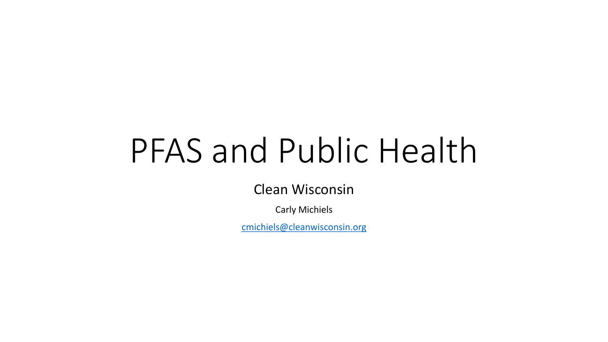# PFAS and Public Health

Clean Wisconsin

Carly Michiels

[cmichiels@cleanwisconsin.org](mailto:cmichiels@cleanwisconsin.org)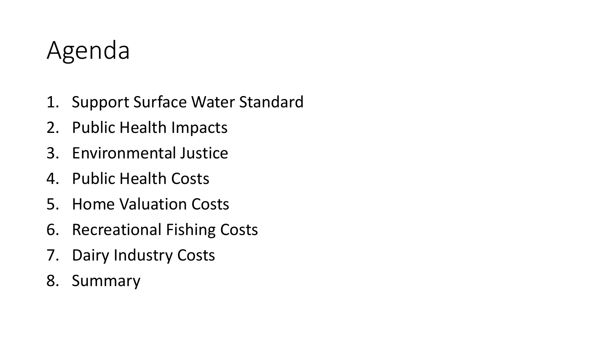#### Agenda

- 1. Support Surface Water Standard
- 2. Public Health Impacts
- 3. Environmental Justice
- 4. Public Health Costs
- 5. Home Valuation Costs
- 6. Recreational Fishing Costs
- 7. Dairy Industry Costs
- 8. Summary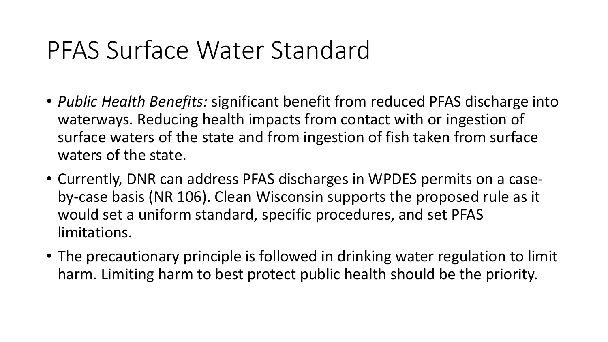#### PFAS Surface Water Standard

- *Public Health Benefits:* significant benefit from reduced PFAS discharge into waterways. Reducing health impacts from contact with or ingestion of surface waters of the state and from ingestion of fish taken from surface waters of the state.
- Currently, DNR can address PFAS discharges in WPDES permits on a caseby-case basis (NR 106). Clean Wisconsin supports the proposed rule as it would set a uniform standard, specific procedures, and set PFAS limitations.
- The precautionary principle is followed in drinking water regulation to limit harm. Limiting harm to best protect public health should be the priority.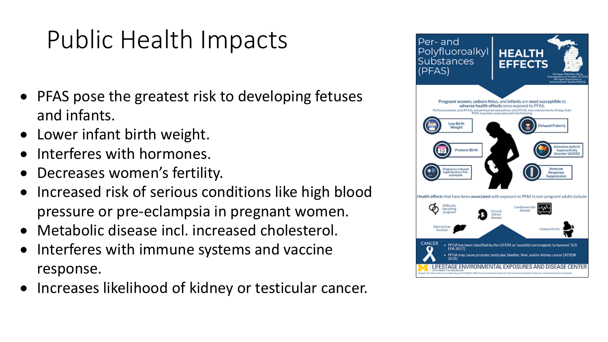# Public Health Impacts

- PFAS pose the greatest risk to developing fetuses and infants.
- Lower infant birth weight.
- Interferes with hormones.
- Decreases women's fertility.
- Increased risk of serious conditions like high blood pressure or pre-eclampsia in pregnant women.
- Metabolic disease incl. increased cholesterol.
- Interferes with immune systems and vaccine response.
- Increases likelihood of kidney or testicular cancer.

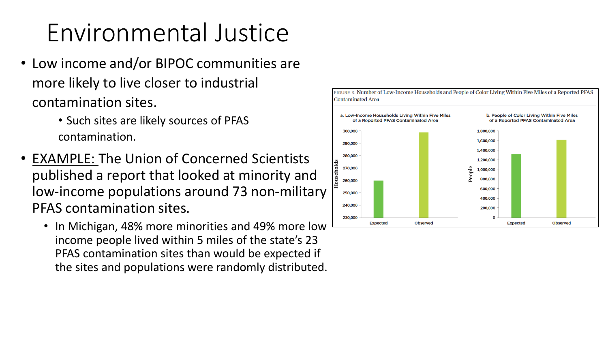## Environmental Justice

- Low income and/or BIPOC communities are more likely to live closer to industrial contamination sites.
	- Such sites are likely sources of PFAS contamination.
- EXAMPLE: The Union of Concerned Scientists published a report that looked at minority and low-income populations around 73 non-military PFAS contamination sites.
	- In Michigan, 48% more minorities and 49% more low income people lived within 5 miles of the state's 23 PFAS contamination sites than would be expected if the sites and populations were randomly distributed.

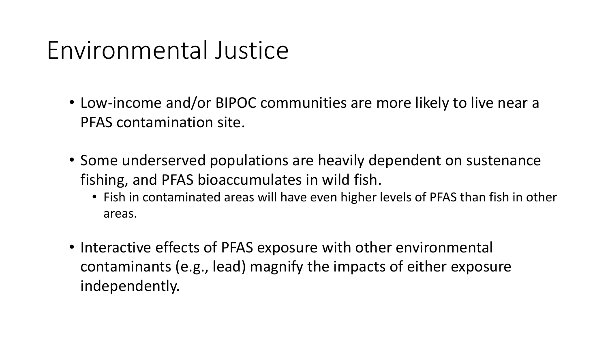#### Environmental Justice

- Low-income and/or BIPOC communities are more likely to live near a PFAS contamination site.
- Some underserved populations are heavily dependent on sustenance fishing, and PFAS bioaccumulates in wild fish.
	- Fish in contaminated areas will have even higher levels of PFAS than fish in other areas.
- Interactive effects of PFAS exposure with other environmental contaminants (e.g., lead) magnify the impacts of either exposure independently.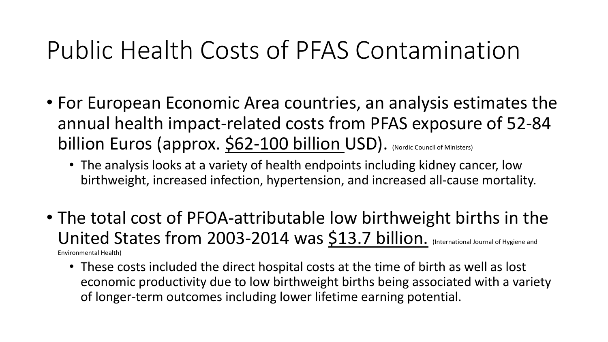#### Public Health Costs of PFAS Contamination

- For European Economic Area countries, an analysis estimates the annual health impact-related costs from PFAS exposure of 52-84 billion Euros (approx. \$62-100 billion USD). (Nordic Council of Ministers)
	- The analysis looks at a variety of health endpoints including kidney cancer, low birthweight, increased infection, hypertension, and increased all-cause mortality.
- The total cost of PFOA-attributable low birthweight births in the United States from 2003-2014 was \$13.7 billion. (International Journal of Hygiene and Environmental Health)
	- These costs included the direct hospital costs at the time of birth as well as lost economic productivity due to low birthweight births being associated with a variety of longer-term outcomes including lower lifetime earning potential.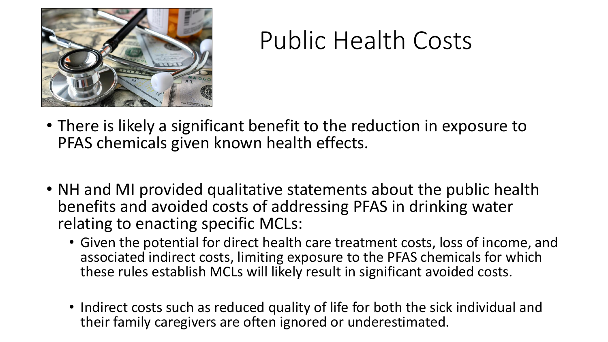

#### Public Health Costs

- There is likely a significant benefit to the reduction in exposure to PFAS chemicals given known health effects.
- NH and MI provided qualitative statements about the public health benefits and avoided costs of addressing PFAS in drinking water relating to enacting specific MCLs:
	- Given the potential for direct health care treatment costs, loss of income, and associated indirect costs, limiting exposure to the PFAS chemicals for which these rules establish MCLs will likely result in significant avoided costs.
	- Indirect costs such as reduced quality of life for both the sick individual and their family caregivers are often ignored or underestimated.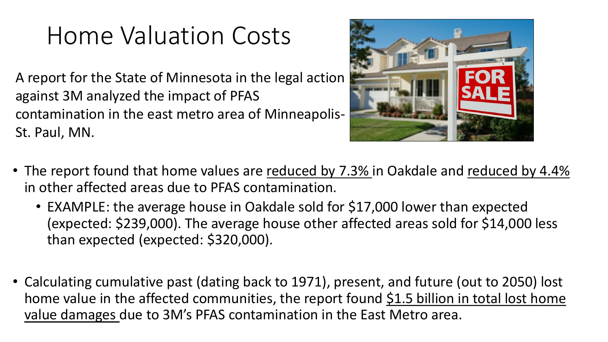### Home Valuation Costs

A report for the State of Minnesota in the legal action against 3M analyzed the impact of PFAS contamination in the east metro area of Minneapolis-St. Paul, MN.



- The report found that home values are reduced by 7.3% in Oakdale and reduced by 4.4% in other affected areas due to PFAS contamination.
	- EXAMPLE: the average house in Oakdale sold for \$17,000 lower than expected (expected: \$239,000). The average house other affected areas sold for \$14,000 less than expected (expected: \$320,000).
- Calculating cumulative past (dating back to 1971), present, and future (out to 2050) lost home value in the affected communities, the report found  $$1.5$  billion in total lost home value damages due to 3M's PFAS contamination in the East Metro area.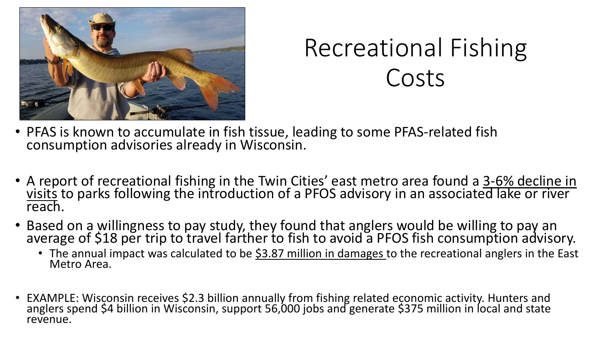

# Recreational Fishing Costs

- PFAS is known to accumulate in fish tissue, leading to some PFAS-related fish consumption advisories already in Wisconsin.
- A report of recreational fishing in the Twin Cities' east metro area found a 3-6% decline in visits to parks following the introduction of a PFOS advisory in an associated lake or river reach.
- Based on a willingness to pay study, they found that anglers would be willing to pay an average of \$18 per trip to travel farther to fish to avoid a PFOS fish consumption advisory.
	- The annual impact was calculated to be \$3.87 million in damages to the recreational anglers in the East Metro Area.
- EXAMPLE: Wisconsin receives \$2.3 billion annually from fishing related economic activity. Hunters and anglers spend \$4 billion in Wisconsin, support 56,000 jobs and generate \$375 million in local and state revenue.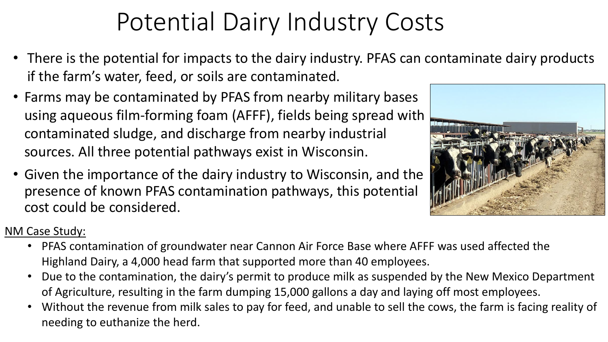# Potential Dairy Industry Costs

- There is the potential for impacts to the dairy industry. PFAS can contaminate dairy products if the farm's water, feed, or soils are contaminated.
- Farms may be contaminated by PFAS from nearby military bases using aqueous film-forming foam (AFFF), fields being spread with contaminated sludge, and discharge from nearby industrial sources. All three potential pathways exist in Wisconsin.
- Given the importance of the dairy industry to Wisconsin, and the presence of known PFAS contamination pathways, this potential cost could be considered.



#### NM Case Study:

- PFAS contamination of groundwater near Cannon Air Force Base where AFFF was used affected the Highland Dairy, a 4,000 head farm that supported more than 40 employees.
- Due to the contamination, the dairy's permit to produce milk as suspended by the New Mexico Department of Agriculture, resulting in the farm dumping 15,000 gallons a day and laying off most employees.
- Without the revenue from milk sales to pay for feed, and unable to sell the cows, the farm is facing reality of needing to euthanize the herd.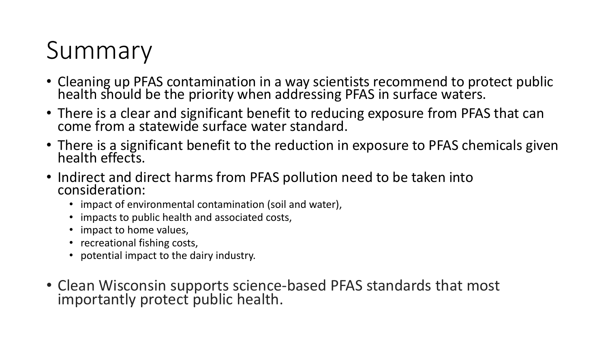# Summary

- Cleaning up PFAS contamination in a way scientists recommend to protect public health should be the priority when addressing PFAS in surface waters.
- There is a clear and significant benefit to reducing exposure from PFAS that can come from a statewide surface water standard.
- There is a significant benefit to the reduction in exposure to PFAS chemicals given health effects.
- Indirect and direct harms from PFAS pollution need to be taken into consideration:
	- impact of environmental contamination (soil and water),
	- impacts to public health and associated costs,
	- impact to home values,
	- recreational fishing costs,
	- potential impact to the dairy industry.
- Clean Wisconsin supports science-based PFAS standards that most importantly protect public health.